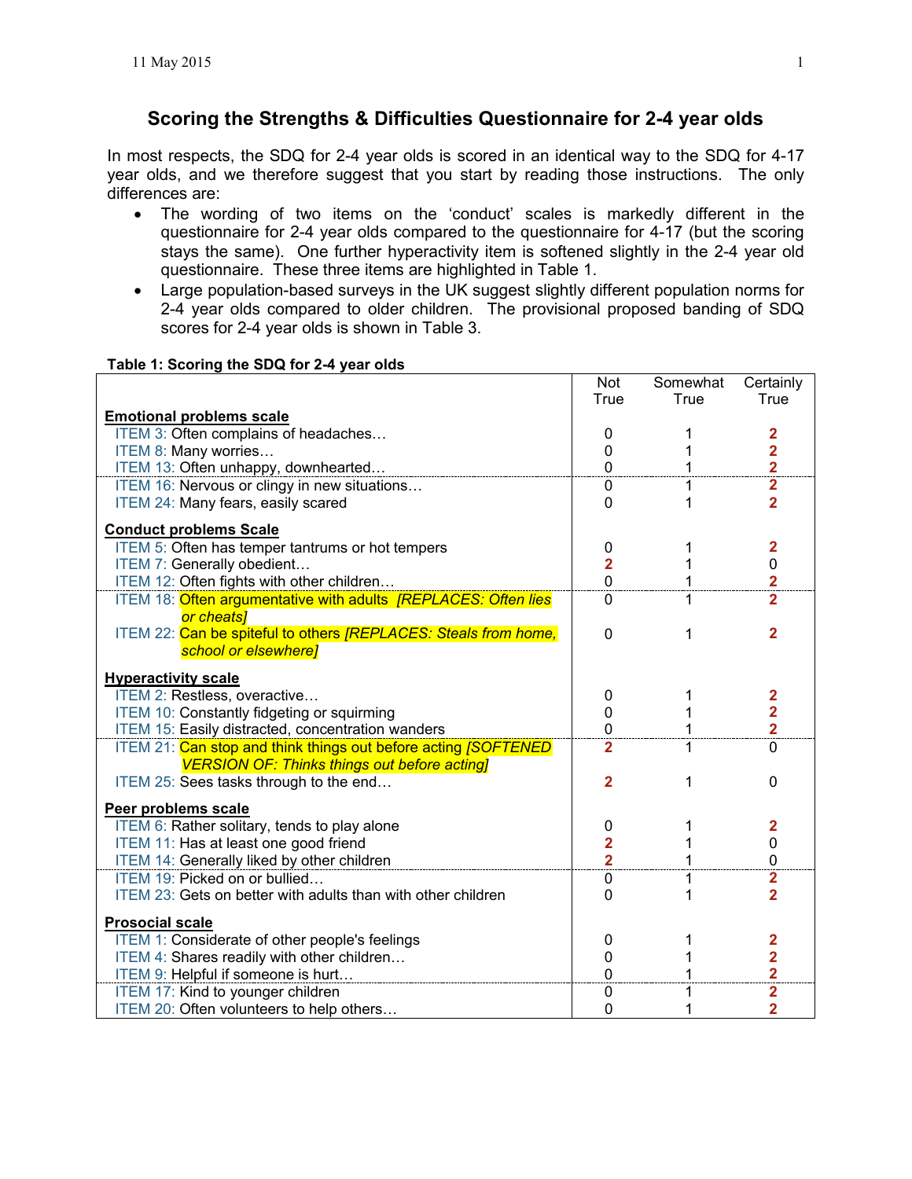# **Scoring the Strengths & Difficulties Questionnaire for 2-4 year olds**

 In most respects, the SDQ for 2-4 year olds is scored in an identical way to the SDQ for 4-17 year olds, and we therefore suggest that you start by reading those instructions. The only differences are:

- The wording of two items on the 'conduct' scales is markedly different in the questionnaire for 2-4 year olds compared to the questionnaire for 4-17 (but the scoring stays the same). One further hyperactivity item is softened slightly in the 2-4 year old questionnaire. These three items are highlighted in Table 1.
- Large population-based surveys in the UK suggest slightly different population norms for 2-4 year olds compared to older children. The provisional proposed banding of SDQ scores for 2-4 year olds is shown in Table 3.

|                                                                         | <b>Not</b>              | Somewhat | Certainly               |
|-------------------------------------------------------------------------|-------------------------|----------|-------------------------|
|                                                                         | True                    | True     | True                    |
| <b>Emotional problems scale</b>                                         |                         |          |                         |
| ITEM 3: Often complains of headaches                                    | 0                       | 1        | $\mathbf{2}$            |
| ITEM 8: Many worries                                                    | 0                       | 1        | $\overline{\mathbf{2}}$ |
| ITEM 13: Often unhappy, downhearted                                     | $\mathbf 0$             | 1        | $\frac{2}{2}$           |
| ITEM 16: Nervous or clingy in new situations                            | 0                       | 1        |                         |
| ITEM 24: Many fears, easily scared                                      | $\Omega$                | 1        | $\overline{2}$          |
| <b>Conduct problems Scale</b>                                           |                         |          |                         |
| ITEM 5: Often has temper tantrums or hot tempers                        | 0                       | 1        | $\mathbf{2}$            |
| ITEM 7: Generally obedient                                              | $\overline{2}$          | 1        | $\pmb{0}$               |
| ITEM 12: Often fights with other children                               | $\overline{0}$          | 1        | $\overline{\mathbf{2}}$ |
| ITEM 18: Often argumentative with adults [REPLACES: Often lies          | $\Omega$                | 1        | $\overline{2}$          |
| or cheats]                                                              |                         |          |                         |
| ITEM 22: Can be spiteful to others [REPLACES: Steals from home,         | 0                       | 1        | 2                       |
| school or elsewhere]                                                    |                         |          |                         |
| <b>Hyperactivity scale</b>                                              |                         |          |                         |
| ITEM 2: Restless, overactive                                            | 0                       | 1        | 2                       |
| ITEM 10: Constantly fidgeting or squirming                              | 0                       | 1        | $\overline{\mathbf{2}}$ |
| ITEM 15: Easily distracted, concentration wanders                       | 0                       | 1        | $\overline{\mathbf{2}}$ |
| ITEM 21: Can stop and think things out before acting <i>[SOFTENED</i> ] | $\overline{2}$          | 1        | $\Omega$                |
| <b>VERSION OF: Thinks things out before acting]</b>                     |                         |          |                         |
| ITEM 25: Sees tasks through to the end                                  | $\overline{2}$          | 1        | $\mathbf 0$             |
| Peer problems scale                                                     |                         |          |                         |
| ITEM 6: Rather solitary, tends to play alone                            | 0                       | 1        | 2                       |
| ITEM 11: Has at least one good friend                                   | $\overline{\mathbf{2}}$ |          | 0                       |
| ITEM 14: Generally liked by other children                              | $\overline{\mathbf{2}}$ | 1        | $\mathbf 0$             |
| ITEM 19: Picked on or bullied                                           | 0                       | 1        | $\overline{\mathbf{2}}$ |
| ITEM 23: Gets on better with adults than with other children            | $\Omega$                | 1        | $\overline{2}$          |
| <b>Prosocial scale</b>                                                  |                         |          |                         |
| ITEM 1: Considerate of other people's feelings                          | 0                       |          | 2                       |
| ITEM 4: Shares readily with other children                              | 0                       |          | $\overline{\mathbf{2}}$ |
| ITEM 9: Helpful if someone is hurt                                      | $\mathbf 0$             | 1        | $\overline{\mathbf{2}}$ |
| ITEM 17: Kind to younger children                                       | 0                       | 1        | $\overline{\mathbf{2}}$ |
| ITEM 20: Often volunteers to help others                                | $\mathbf 0$             | 1        | $\overline{2}$          |

#### **Table 1: Scoring the SDQ for 2-4 year olds**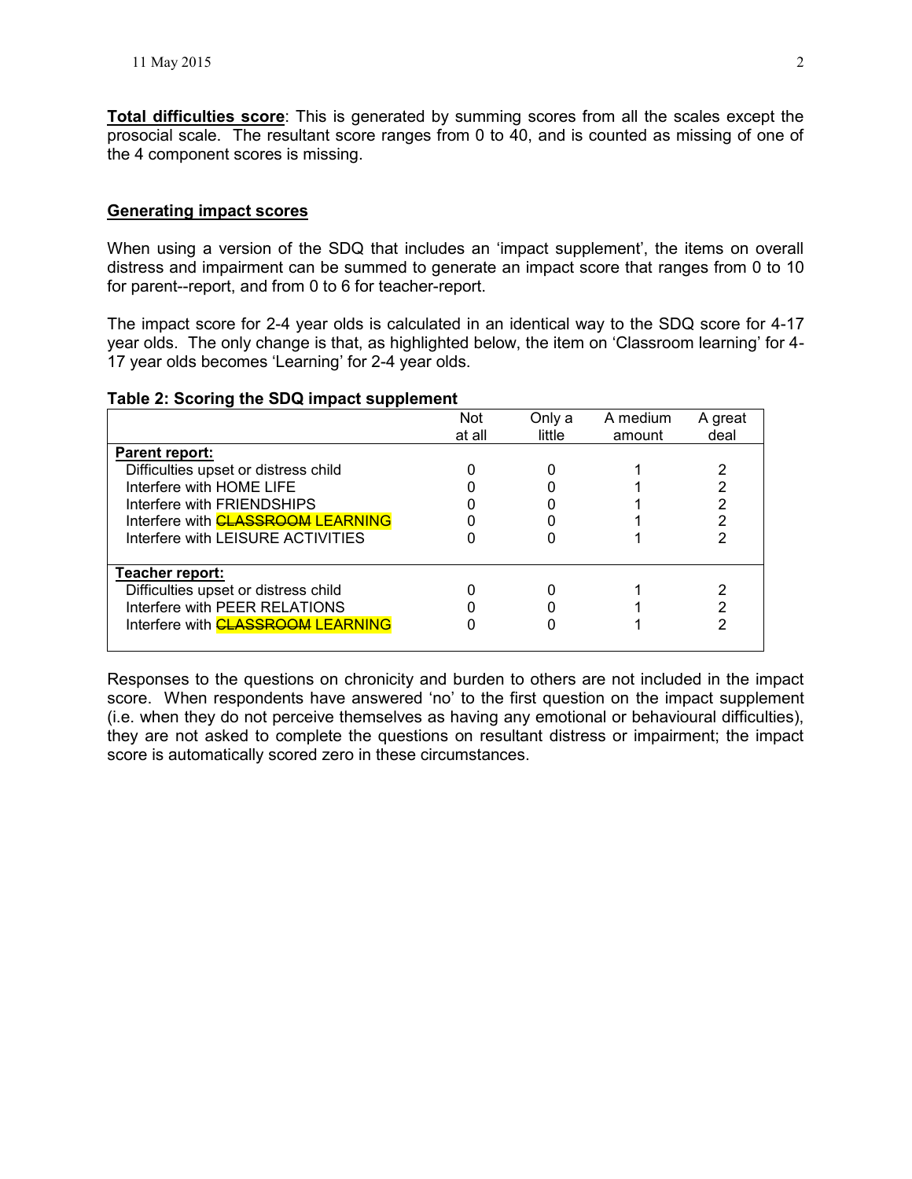**Total difficulties score**: This is generated by summing scores from all the scales except the prosocial scale. The resultant score ranges from 0 to 40, and is counted as missing of one of the 4 component scores is missing.

#### **Generating impact scores**

When using a version of the SDQ that includes an 'impact supplement', the items on overall distress and impairment can be summed to generate an impact score that ranges from 0 to 10 for parent--report, and from 0 to 6 for teacher-report.

The impact score for 2-4 year olds is calculated in an identical way to the SDQ score for 4-17 year olds. The only change is that, as highlighted below, the item on 'Classroom learning' for 4- 17 year olds becomes 'Learning' for 2-4 year olds.

## **Table 2: Scoring the SDQ impact supplement**

|                                          | <b>Not</b> | Only a | A medium | A great |
|------------------------------------------|------------|--------|----------|---------|
|                                          | at all     | little | amount   | deal    |
| <b>Parent report:</b>                    |            |        |          |         |
| Difficulties upset or distress child     |            |        |          |         |
| Interfere with HOME LIFE                 |            |        |          |         |
| Interfere with FRIENDSHIPS               |            |        |          |         |
| Interfere with <b>CLASSROOM LEARNING</b> |            |        |          |         |
| Interfere with LEISURE ACTIVITIES        |            |        |          |         |
|                                          |            |        |          |         |
| Teacher report:                          |            |        |          |         |
| Difficulties upset or distress child     |            |        |          |         |
| Interfere with PEER RELATIONS            |            |        |          |         |
| Interfere with <b>CLASSROOM LEARNING</b> |            |        |          |         |
|                                          |            |        |          |         |

Responses to the questions on chronicity and burden to others are not included in the impact score. When respondents have answered 'no' to the first question on the impact supplement (i.e. when they do not perceive themselves as having any emotional or behavioural difficulties), they are not asked to complete the questions on resultant distress or impairment; the impact score is automatically scored zero in these circumstances.